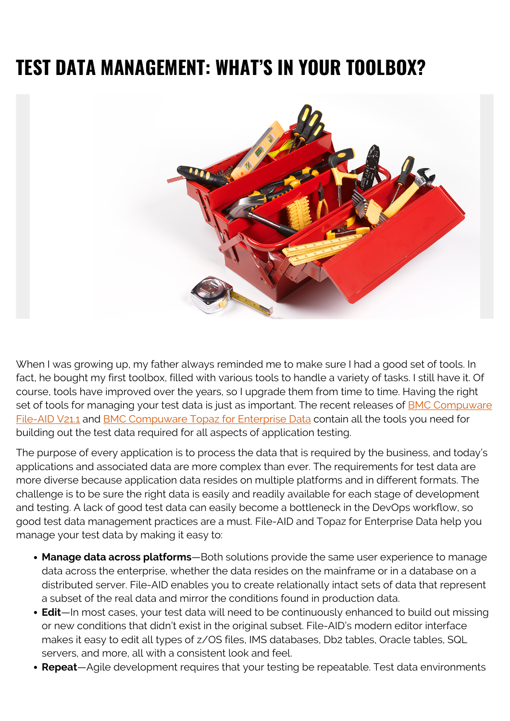## **TEST DATA MANAGEMENT: WHAT'S IN YOUR TOOLBOX?**



When I was growing up, my father always reminded me to make sure I had a good set of tools. In fact, he bought my first toolbox, filled with various tools to handle a variety of tasks. I still have it. Of course, tools have improved over the years, so I upgrade them from time to time. Having the right set of tools for managing your test data is just as important. The recent releases of **BMC Compuware** [File-AID V21.1](https://blogs.bmc.com/it-solutions/bmc-compuware-file-aid.html) and [BMC Compuware Topaz for Enterprise Data](https://blogs.bmc.com/it-solutions/bmc-compuware-topaz-for-enterprise-data.html) contain all the tools you need for building out the test data required for all aspects of application testing.

The purpose of every application is to process the data that is required by the business, and today's applications and associated data are more complex than ever. The requirements for test data are more diverse because application data resides on multiple platforms and in different formats. The challenge is to be sure the right data is easily and readily available for each stage of development and testing. A lack of good test data can easily become a bottleneck in the DevOps workflow, so good test data management practices are a must. File-AID and Topaz for Enterprise Data help you manage your test data by making it easy to:

- **Manage data across platforms**—Both solutions provide the same user experience to manage data across the enterprise, whether the data resides on the mainframe or in a database on a distributed server. File-AID enables you to create relationally intact sets of data that represent a subset of the real data and mirror the conditions found in production data.
- **Edit**—In most cases, your test data will need to be continuously enhanced to build out missing or new conditions that didn't exist in the original subset. File-AID's modern editor interface makes it easy to edit all types of z/OS files, IMS databases, Db2 tables, Oracle tables, SQL servers, and more, all with a consistent look and feel.
- **Repeat**—Agile development requires that your testing be repeatable. Test data environments